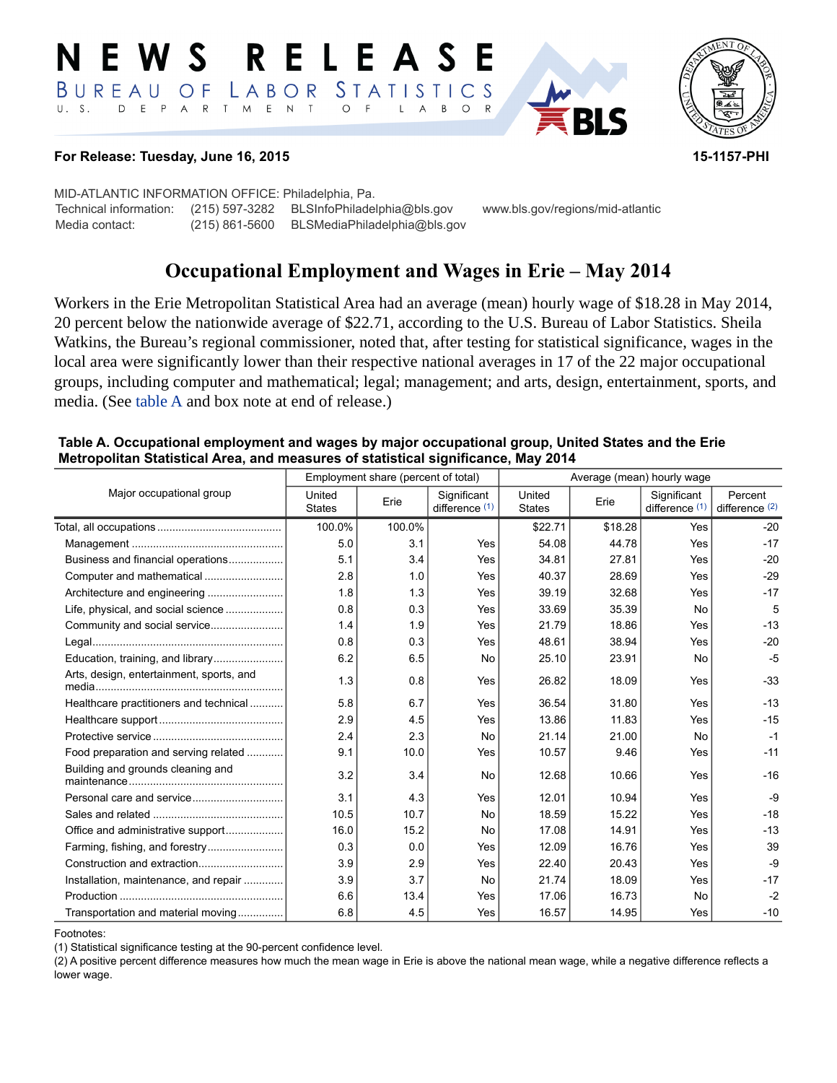#### E W S **RELEASE** *STATISTICS* BUREAU  $\overline{O}$  F LABOR D E P A R T M E N T  $\circ$  $U. S.$  $\overline{F}$  $\mathsf{L}$  $\overline{\mathsf{A}}$  $B$  $\circ$



## **For Release: Tuesday, June 16, 2015 15-1157-PHI**

MID-ATLANTIC INFORMATION OFFICE: Philadelphia, Pa. Technical information: (215) 597-3282 BLSInfoPhiladelphia@bls.gov www.bls.gov/regions/mid-atlantic Media contact: (215) 861-5600 BLSMediaPhiladelphia@bls.gov

# **Occupational Employment and Wages in Erie – May 2014**

Workers in the Erie Metropolitan Statistical Area had an average (mean) hourly wage of \$18.28 in May 2014, 20 percent below the nationwide average of \$22.71, according to the U.S. Bureau of Labor Statistics. Sheila Watkins, the Bureau's regional commissioner, noted that, after testing for statistical significance, wages in the local area were significantly lower than their respective national averages in 17 of the 22 major occupational groups, including computer and mathematical; legal; management; and arts, design, entertainment, sports, and media. (See [table A](#page-0-0) and box note at end of release.)

### <span id="page-0-0"></span>**Table A. Occupational employment and wages by major occupational group, United States and the Erie Metropolitan Statistical Area, and measures of statistical significance, May 2014**

|                                          | Employment share (percent of total) |        |                               | Average (mean) hourly wage |         |                                 |                             |
|------------------------------------------|-------------------------------------|--------|-------------------------------|----------------------------|---------|---------------------------------|-----------------------------|
| Major occupational group                 | United<br><b>States</b>             | Erie   | Significant<br>difference (1) | United<br><b>States</b>    | Erie    | Significant<br>difference $(1)$ | Percent<br>difference $(2)$ |
|                                          | 100.0%                              | 100.0% |                               | \$22.71                    | \$18.28 | Yes                             | $-20$                       |
|                                          | 5.0                                 | 3.1    | Yes                           | 54.08                      | 44.78   | Yes                             | $-17$                       |
| Business and financial operations        | 5.1                                 | 3.4    | Yes                           | 34.81                      | 27.81   | Yes                             | $-20$                       |
|                                          | 2.8                                 | 1.0    | Yes                           | 40.37                      | 28.69   | Yes                             | $-29$                       |
| Architecture and engineering             | 1.8                                 | 1.3    | Yes                           | 39.19                      | 32.68   | Yes                             | $-17$                       |
| Life, physical, and social science       | 0.8                                 | 0.3    | Yes                           | 33.69                      | 35.39   | No                              | 5                           |
|                                          | 1.4                                 | 1.9    | Yes                           | 21.79                      | 18.86   | Yes                             | $-13$                       |
|                                          | 0.8                                 | 0.3    | Yes                           | 48.61                      | 38.94   | Yes                             | $-20$                       |
|                                          | 6.2                                 | 6.5    | No                            | 25.10                      | 23.91   | No                              | $-5$                        |
| Arts, design, entertainment, sports, and | 1.3                                 | 0.8    | Yes                           | 26.82                      | 18.09   | Yes                             | $-33$                       |
| Healthcare practitioners and technical   | 5.8                                 | 6.7    | Yes                           | 36.54                      | 31.80   | Yes                             | $-13$                       |
|                                          | 2.9                                 | 4.5    | Yes                           | 13.86                      | 11.83   | Yes                             | $-15$                       |
|                                          | 2.4                                 | 2.3    | No                            | 21.14                      | 21.00   | No                              | $-1$                        |
| Food preparation and serving related     | 9.1                                 | 10.0   | Yes                           | 10.57                      | 9.46    | Yes                             | $-11$                       |
| Building and grounds cleaning and        | 3.2                                 | 3.4    | No                            | 12.68                      | 10.66   | Yes                             | $-16$                       |
|                                          | 3.1                                 | 4.3    | Yes                           | 12.01                      | 10.94   | Yes                             | $-9$                        |
|                                          | 10.5                                | 10.7   | No                            | 18.59                      | 15.22   | Yes                             | $-18$                       |
|                                          | 16.0                                | 15.2   | No                            | 17.08                      | 14.91   | Yes                             | $-13$                       |
|                                          | 0.3                                 | 0.0    | Yes                           | 12.09                      | 16.76   | Yes                             | 39                          |
|                                          | 3.9                                 | 2.9    | Yes                           | 22.40                      | 20.43   | Yes                             | $-9$                        |
| Installation, maintenance, and repair    | 3.9                                 | 3.7    | No                            | 21.74                      | 18.09   | Yes                             | $-17$                       |
|                                          | 6.6                                 | 13.4   | Yes                           | 17.06                      | 16.73   | No                              | $-2$                        |
| Transportation and material moving       | 6.8                                 | 4.5    | Yes                           | 16.57                      | 14.95   | Yes                             | $-10$                       |

<span id="page-0-1"></span>Footnotes:

(1) Statistical significance testing at the 90-percent confidence level.

(2) A positive percent difference measures how much the mean wage in Erie is above the national mean wage, while a negative difference reflects a lower wage.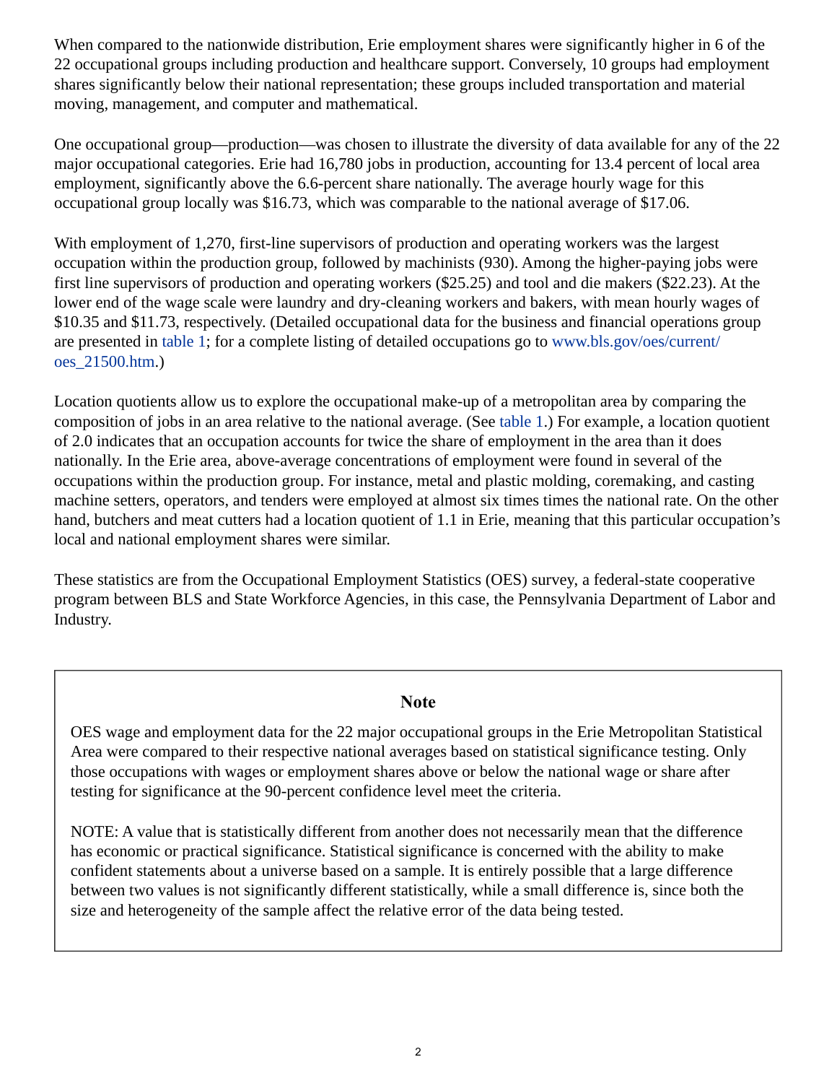When compared to the nationwide distribution, Erie employment shares were significantly higher in 6 of the 22 occupational groups including production and healthcare support. Conversely, 10 groups had employment shares significantly below their national representation; these groups included transportation and material moving, management, and computer and mathematical.

One occupational group—production—was chosen to illustrate the diversity of data available for any of the 22 major occupational categories. Erie had 16,780 jobs in production, accounting for 13.4 percent of local area employment, significantly above the 6.6-percent share nationally. The average hourly wage for this occupational group locally was \$16.73, which was comparable to the national average of \$17.06.

With employment of 1,270, first-line supervisors of production and operating workers was the largest occupation within the production group, followed by machinists (930). Among the higher-paying jobs were first line supervisors of production and operating workers (\$25.25) and tool and die makers (\$22.23). At the lower end of the wage scale were laundry and dry-cleaning workers and bakers, with mean hourly wages of \$10.35 and \$11.73, respectively. (Detailed occupational data for the business and financial operations group are presented in [table 1;](#page-3-0) for a complete listing of detailed occupations go to [www.bls.gov/oes/current/](https://www.bls.gov/oes/current/oes_21500.htm) [oes\\_21500.htm](https://www.bls.gov/oes/current/oes_21500.htm).)

Location quotients allow us to explore the occupational make-up of a metropolitan area by comparing the composition of jobs in an area relative to the national average. (See [table 1.](#page-3-0)) For example, a location quotient of 2.0 indicates that an occupation accounts for twice the share of employment in the area than it does nationally. In the Erie area, above-average concentrations of employment were found in several of the occupations within the production group. For instance, metal and plastic molding, coremaking, and casting machine setters, operators, and tenders were employed at almost six times times the national rate. On the other hand, butchers and meat cutters had a location quotient of 1.1 in Erie, meaning that this particular occupation's local and national employment shares were similar.

These statistics are from the Occupational Employment Statistics (OES) survey, a federal-state cooperative program between BLS and State Workforce Agencies, in this case, the Pennsylvania Department of Labor and Industry.

## **Note**

OES wage and employment data for the 22 major occupational groups in the Erie Metropolitan Statistical Area were compared to their respective national averages based on statistical significance testing. Only those occupations with wages or employment shares above or below the national wage or share after testing for significance at the 90-percent confidence level meet the criteria.

NOTE: A value that is statistically different from another does not necessarily mean that the difference has economic or practical significance. Statistical significance is concerned with the ability to make confident statements about a universe based on a sample. It is entirely possible that a large difference between two values is not significantly different statistically, while a small difference is, since both the size and heterogeneity of the sample affect the relative error of the data being tested.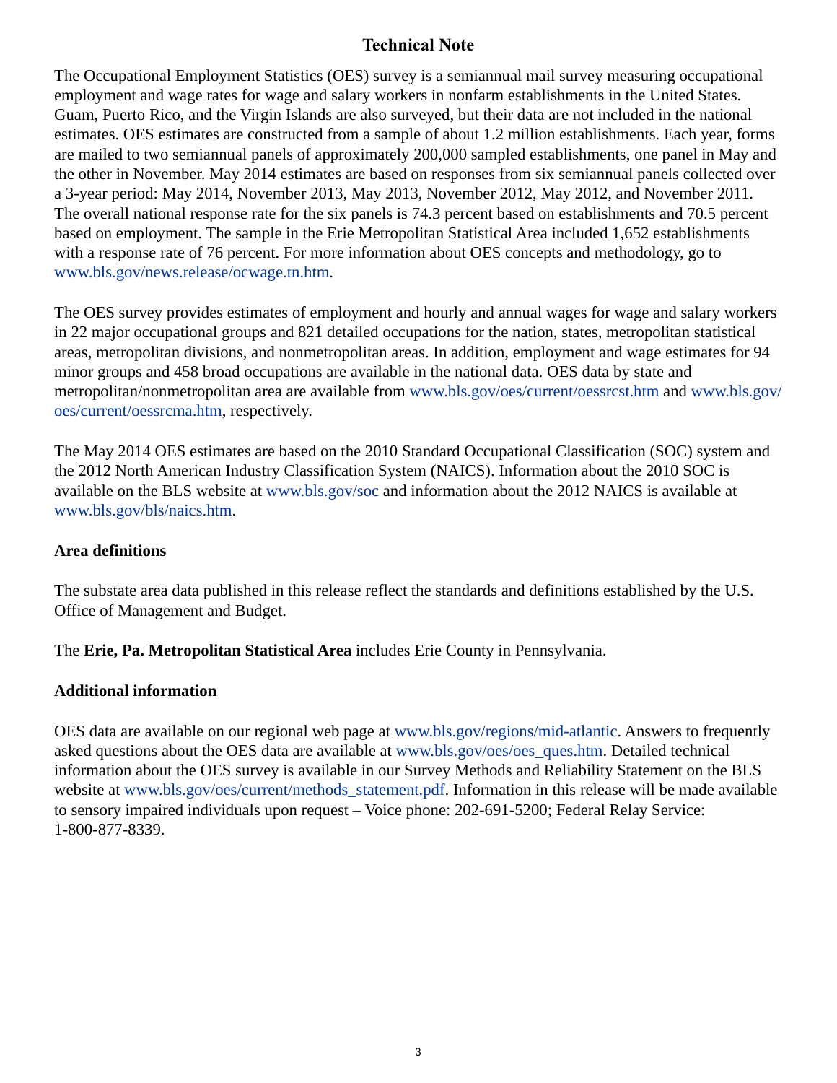# **Technical Note**

The Occupational Employment Statistics (OES) survey is a semiannual mail survey measuring occupational employment and wage rates for wage and salary workers in nonfarm establishments in the United States. Guam, Puerto Rico, and the Virgin Islands are also surveyed, but their data are not included in the national estimates. OES estimates are constructed from a sample of about 1.2 million establishments. Each year, forms are mailed to two semiannual panels of approximately 200,000 sampled establishments, one panel in May and the other in November. May 2014 estimates are based on responses from six semiannual panels collected over a 3-year period: May 2014, November 2013, May 2013, November 2012, May 2012, and November 2011. The overall national response rate for the six panels is 74.3 percent based on establishments and 70.5 percent based on employment. The sample in the Erie Metropolitan Statistical Area included 1,652 establishments with a response rate of 76 percent. For more information about OES concepts and methodology, go to [www.bls.gov/news.release/ocwage.tn.htm](https://www.bls.gov/news.release/ocwage.tn.htm).

The OES survey provides estimates of employment and hourly and annual wages for wage and salary workers in 22 major occupational groups and 821 detailed occupations for the nation, states, metropolitan statistical areas, metropolitan divisions, and nonmetropolitan areas. In addition, employment and wage estimates for 94 minor groups and 458 broad occupations are available in the national data. OES data by state and metropolitan/nonmetropolitan area are available from [www.bls.gov/oes/current/oessrcst.htm](https://www.bls.gov/oes/current/oessrcst.htm) and [www.bls.gov/](https://www.bls.gov/oes/current/oessrcma.htm) [oes/current/oessrcma.htm,](https://www.bls.gov/oes/current/oessrcma.htm) respectively.

The May 2014 OES estimates are based on the 2010 Standard Occupational Classification (SOC) system and the 2012 North American Industry Classification System (NAICS). Information about the 2010 SOC is available on the BLS website at [www.bls.gov/soc](https://www.bls.gov/soc) and information about the 2012 NAICS is available at [www.bls.gov/bls/naics.htm.](https://www.bls.gov/bls/naics.htm)

## **Area definitions**

The substate area data published in this release reflect the standards and definitions established by the U.S. Office of Management and Budget.

The **Erie, Pa. Metropolitan Statistical Area** includes Erie County in Pennsylvania.

# **Additional information**

OES data are available on our regional web page at [www.bls.gov/regions/mid-atlantic.](https://www.bls.gov/regions/mid-atlantic) Answers to frequently asked questions about the OES data are available at [www.bls.gov/oes/oes\\_ques.htm](https://www.bls.gov/oes/oes_ques.htm). Detailed technical information about the OES survey is available in our Survey Methods and Reliability Statement on the BLS website at [www.bls.gov/oes/current/methods\\_statement.pdf.](https://www.bls.gov/oes/2013/may/methods_statement.pdf) Information in this release will be made available to sensory impaired individuals upon request – Voice phone: 202-691-5200; Federal Relay Service: 1-800-877-8339.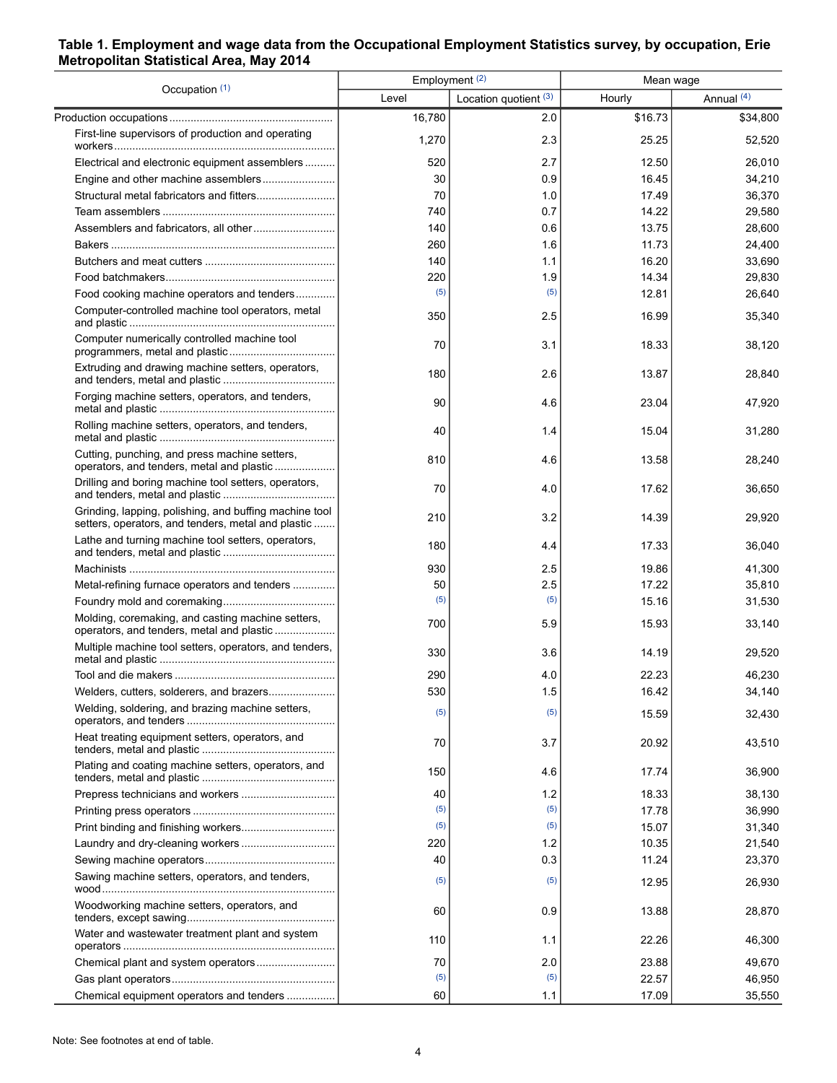## <span id="page-3-0"></span>**Table 1. Employment and wage data from the Occupational Employment Statistics survey, by occupation, Erie Metropolitan Statistical Area, May 2014**

| Occupation (1)                                                                                               | Employment <sup>(2)</sup> |                         | Mean wage |                       |  |
|--------------------------------------------------------------------------------------------------------------|---------------------------|-------------------------|-----------|-----------------------|--|
|                                                                                                              | Level                     | Location quotient $(3)$ | Hourly    | Annual <sup>(4)</sup> |  |
|                                                                                                              | 16,780                    | 2.0                     | \$16.73   | \$34,800              |  |
| First-line supervisors of production and operating                                                           | 1,270                     | 2.3                     | 25.25     | 52,520                |  |
| Electrical and electronic equipment assemblers                                                               | 520                       | 2.7                     | 12.50     | 26,010                |  |
|                                                                                                              | 30                        | 0.9                     | 16.45     | 34,210                |  |
|                                                                                                              | 70                        | 1.0                     | 17.49     | 36,370                |  |
|                                                                                                              | 740                       | 0.7                     | 14.22     | 29,580                |  |
|                                                                                                              | 140                       | 0.6                     | 13.75     | 28,600                |  |
|                                                                                                              | 260                       | 1.6                     | 11.73     | 24,400                |  |
|                                                                                                              | 140                       | 1.1                     | 16.20     | 33,690                |  |
|                                                                                                              | 220                       | 1.9                     | 14.34     | 29,830                |  |
| Food cooking machine operators and tenders                                                                   | (5)                       | (5)                     | 12.81     | 26,640                |  |
| Computer-controlled machine tool operators, metal                                                            | 350                       | 2.5                     | 16.99     | 35,340                |  |
| Computer numerically controlled machine tool                                                                 | 70                        | 3.1                     | 18.33     | 38,120                |  |
| Extruding and drawing machine setters, operators,                                                            | 180                       | 2.6                     | 13.87     | 28,840                |  |
| Forging machine setters, operators, and tenders,                                                             | 90                        | 4.6                     | 23.04     | 47,920                |  |
| Rolling machine setters, operators, and tenders,                                                             | 40                        | 1.4                     | 15.04     | 31,280                |  |
| Cutting, punching, and press machine setters,<br>operators, and tenders, metal and plastic                   | 810                       | 4.6                     | 13.58     | 28,240                |  |
| Drilling and boring machine tool setters, operators,                                                         | 70                        | 4.0                     | 17.62     | 36,650                |  |
| Grinding, lapping, polishing, and buffing machine tool<br>setters, operators, and tenders, metal and plastic | 210                       | 3.2                     | 14.39     | 29,920                |  |
| Lathe and turning machine tool setters, operators,                                                           | 180                       | 4.4                     | 17.33     | 36,040                |  |
|                                                                                                              | 930                       | 2.5                     | 19.86     | 41,300                |  |
| Metal-refining furnace operators and tenders                                                                 | 50                        | 2.5                     | 17.22     | 35,810                |  |
|                                                                                                              | (5)                       | (5)                     | 15.16     | 31,530                |  |
| Molding, coremaking, and casting machine setters,<br>operators, and tenders, metal and plastic               | 700                       | 5.9                     | 15.93     | 33,140                |  |
| Multiple machine tool setters, operators, and tenders,                                                       | 330                       | 3.6                     | 14.19     | 29,520                |  |
|                                                                                                              | 290                       | 4.0                     | 22.23     | 46,230                |  |
| Welders, cutters, solderers, and brazers                                                                     | 530                       | 1.5                     | 16.42     | 34,140                |  |
| Welding, soldering, and brazing machine setters,                                                             | (5)                       | (5)                     | 15.59     | 32,430                |  |
| Heat treating equipment setters, operators, and                                                              | 70                        | 3.7                     | 20.92     | 43,510                |  |
| Plating and coating machine setters, operators, and                                                          | 150                       | 4.6                     | 17.74     | 36,900                |  |
|                                                                                                              | 40                        | 1.2                     | 18.33     | 38,130                |  |
|                                                                                                              | (5)                       | (5)                     | 17.78     | 36,990                |  |
|                                                                                                              | (5)                       | (5)                     | 15.07     | 31,340                |  |
|                                                                                                              | 220                       | 1.2                     | 10.35     | 21,540                |  |
|                                                                                                              | 40                        | 0.3                     | 11.24     | 23,370                |  |
| Sawing machine setters, operators, and tenders,                                                              | (5)                       | (5)                     | 12.95     | 26,930                |  |
| Woodworking machine setters, operators, and                                                                  | 60                        | 0.9                     | 13.88     | 28,870                |  |
| Water and wastewater treatment plant and system                                                              | 110                       | 1.1                     | 22.26     | 46,300                |  |
|                                                                                                              | 70                        | 2.0                     | 23.88     | 49,670                |  |
|                                                                                                              | (5)                       | (5)                     | 22.57     | 46,950                |  |
| Chemical equipment operators and tenders                                                                     | 60                        | 1.1                     | 17.09     | 35,550                |  |